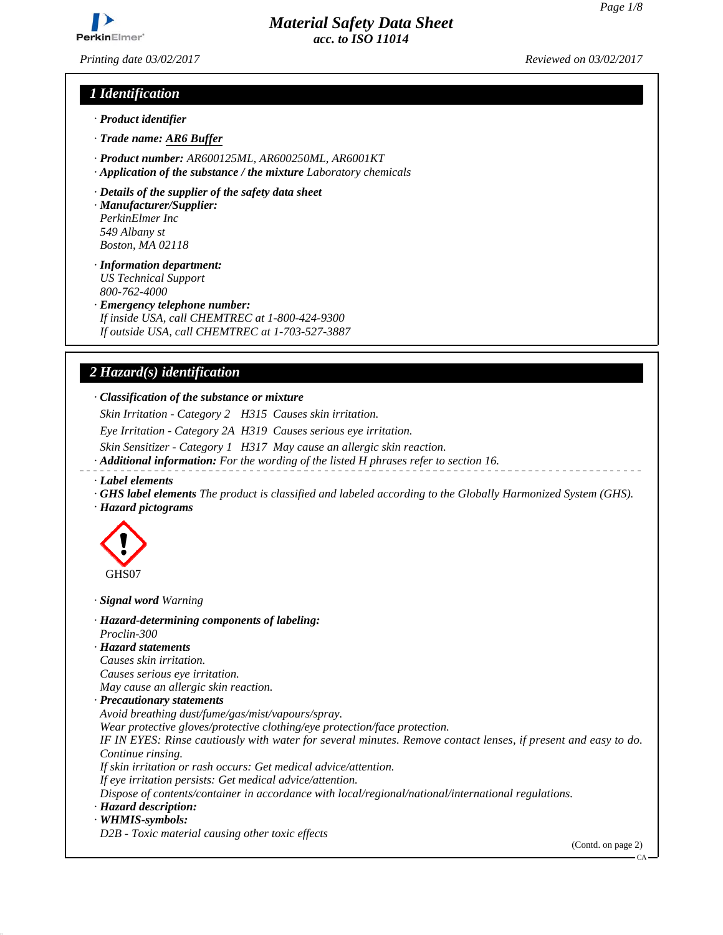*Printing date 03/02/2017 Reviewed on 03/02/2017*

# *1 Identification*

- *· Product identifier*
- *· Trade name: AR6 Buffer*
- *· Product number: AR600125ML, AR600250ML, AR6001KT*
- *· Application of the substance / the mixture Laboratory chemicals*
- *· Details of the supplier of the safety data sheet*
- *· Manufacturer/Supplier: PerkinElmer Inc 549 Albany st Boston, MA 02118*
- *· Information department: US Technical Support 800-762-4000*
- *· Emergency telephone number:*
- *If inside USA, call CHEMTREC at 1-800-424-9300 If outside USA, call CHEMTREC at 1-703-527-3887*

# *2 Hazard(s) identification*

#### *· Classification of the substance or mixture*

*Skin Irritation - Category 2 H315 Causes skin irritation.*

*Eye Irritation - Category 2A H319 Causes serious eye irritation.*

*Skin Sensitizer - Category 1 H317 May cause an allergic skin reaction.*

*· Additional information: For the wording of the listed H phrases refer to section 16.*

- *· Label elements*
- *· GHS label elements The product is classified and labeled according to the Globally Harmonized System (GHS). · Hazard pictograms*



*· Signal word Warning*

- *· Hazard-determining components of labeling:*
- *Proclin-300*
- *· Hazard statements*
- *Causes skin irritation.*

*Causes serious eye irritation.*

*May cause an allergic skin reaction.*

- *· Precautionary statements*
- *Avoid breathing dust/fume/gas/mist/vapours/spray.*
- *Wear protective gloves/protective clothing/eye protection/face protection.*

*IF IN EYES: Rinse cautiously with water for several minutes. Remove contact lenses, if present and easy to do. Continue rinsing.*

*If skin irritation or rash occurs: Get medical advice/attention.*

*If eye irritation persists: Get medical advice/attention.*

*Dispose of contents/container in accordance with local/regional/national/international regulations.*

#### *· Hazard description:*

*· WHMIS-symbols:*

*D2B - Toxic material causing other toxic effects*

(Contd. on page 2)

*Page 1/8*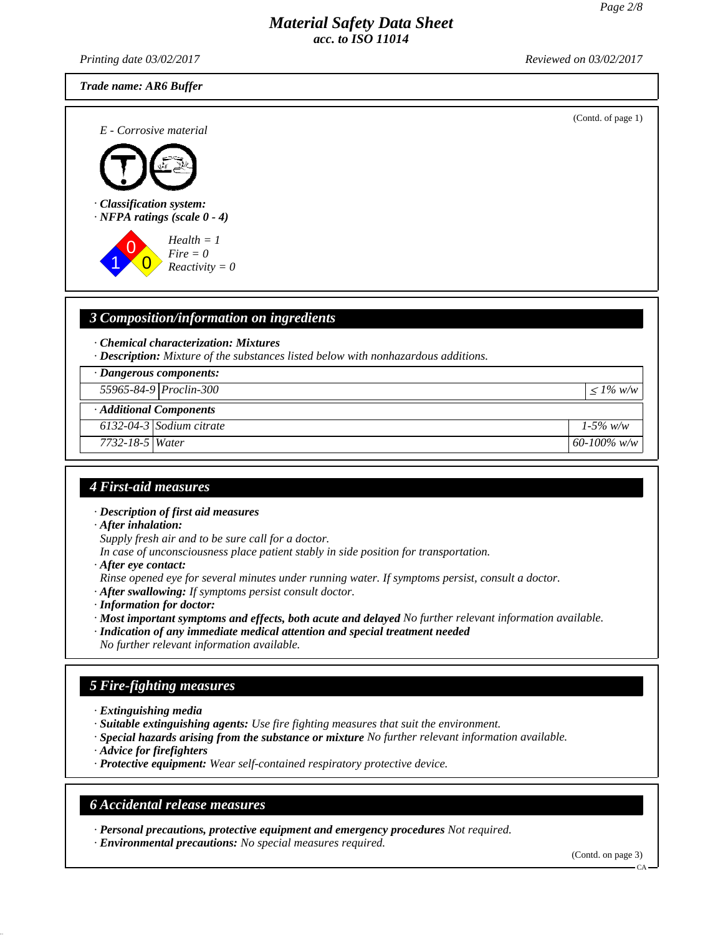*Printing date 03/02/2017 Reviewed on 03/02/2017*

*Trade name: AR6 Buffer*

(Contd. of page 1) *E - Corrosive material · Classification system: · NFPA ratings (scale 0 - 4)* 1 0  $\overline{0}$ *Health = 1 Fire = 0 Reactivity = 0*

# *3 Composition/information on ingredients*

*· Chemical characterization: Mixtures*

*· Description: Mixture of the substances listed below with nonhazardous additions.*

*· Dangerous components:*

*55965-84-9 Proclin-300* <sup>≤</sup> *1% w/w*

*· Additional Components*

*6132-04-3 Sodium citrate 1-5% w/w*

*7732-18-5 Water 60-100% w/w*

# *4 First-aid measures*

*· Description of first aid measures*

*· After inhalation:*

- *Supply fresh air and to be sure call for a doctor.*
- *In case of unconsciousness place patient stably in side position for transportation.*
- *· After eye contact:*
- *Rinse opened eye for several minutes under running water. If symptoms persist, consult a doctor.*

*· After swallowing: If symptoms persist consult doctor.*

- *· Information for doctor:*
- *· Most important symptoms and effects, both acute and delayed No further relevant information available.*
- *· Indication of any immediate medical attention and special treatment needed*
- *No further relevant information available.*

# *5 Fire-fighting measures*

- *· Extinguishing media*
- *· Suitable extinguishing agents: Use fire fighting measures that suit the environment.*
- *· Special hazards arising from the substance or mixture No further relevant information available.*
- *· Advice for firefighters*
- *· Protective equipment: Wear self-contained respiratory protective device.*

## *6 Accidental release measures*

*· Personal precautions, protective equipment and emergency procedures Not required. · Environmental precautions: No special measures required.*

(Contd. on page 3)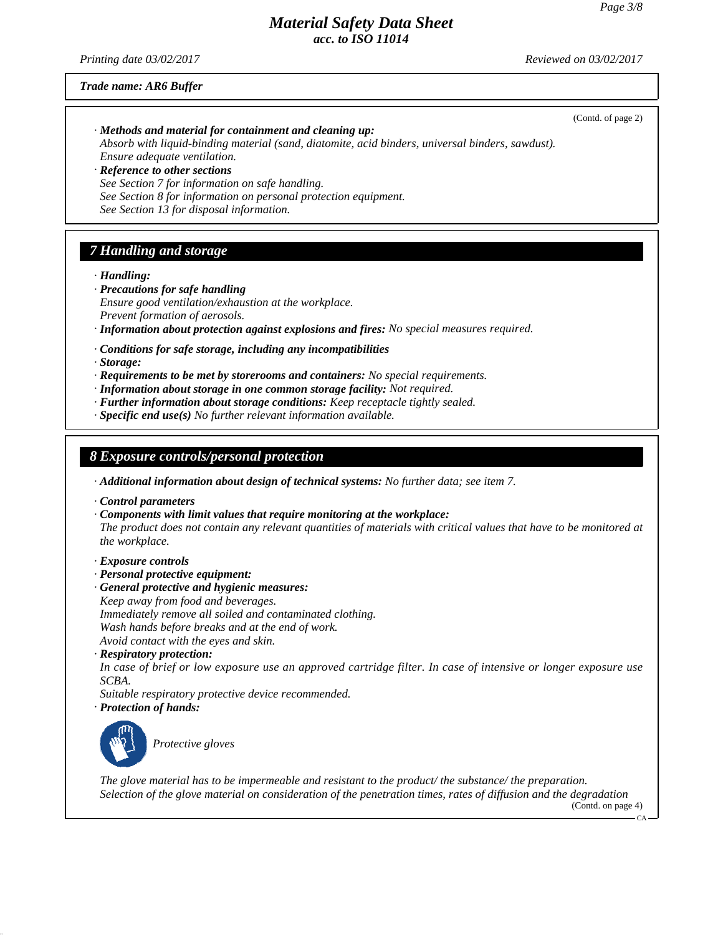*Printing date 03/02/2017 Reviewed on 03/02/2017*

*Trade name: AR6 Buffer*

(Contd. of page 2) *· Methods and material for containment and cleaning up: Absorb with liquid-binding material (sand, diatomite, acid binders, universal binders, sawdust). Ensure adequate ventilation. · Reference to other sections See Section 7 for information on safe handling. See Section 8 for information on personal protection equipment. See Section 13 for disposal information. 7 Handling and storage*

*· Handling:*

- *· Precautions for safe handling Ensure good ventilation/exhaustion at the workplace. Prevent formation of aerosols.*
- *· Information about protection against explosions and fires: No special measures required.*
- *· Conditions for safe storage, including any incompatibilities*

*· Storage:*

- *· Requirements to be met by storerooms and containers: No special requirements.*
- *· Information about storage in one common storage facility: Not required.*
- *· Further information about storage conditions: Keep receptacle tightly sealed.*
- *· Specific end use(s) No further relevant information available.*

## *8 Exposure controls/personal protection*

- *· Additional information about design of technical systems: No further data; see item 7.*
- *· Control parameters*
- *· Components with limit values that require monitoring at the workplace: The product does not contain any relevant quantities of materials with critical values that have to be monitored at the workplace.*

#### *· Exposure controls*

- *· Personal protective equipment:*
- *· General protective and hygienic measures:*
- *Keep away from food and beverages.*
- *Immediately remove all soiled and contaminated clothing.*

*Wash hands before breaks and at the end of work.*

*Avoid contact with the eyes and skin.*

*· Respiratory protection:*

*In case of brief or low exposure use an approved cartridge filter. In case of intensive or longer exposure use SCBA.*

*Suitable respiratory protective device recommended.*

*· Protection of hands:*



*Protective gloves*

*The glove material has to be impermeable and resistant to the product/ the substance/ the preparation. Selection of the glove material on consideration of the penetration times, rates of diffusion and the degradation* (Contd. on page 4)

 $\overline{C}$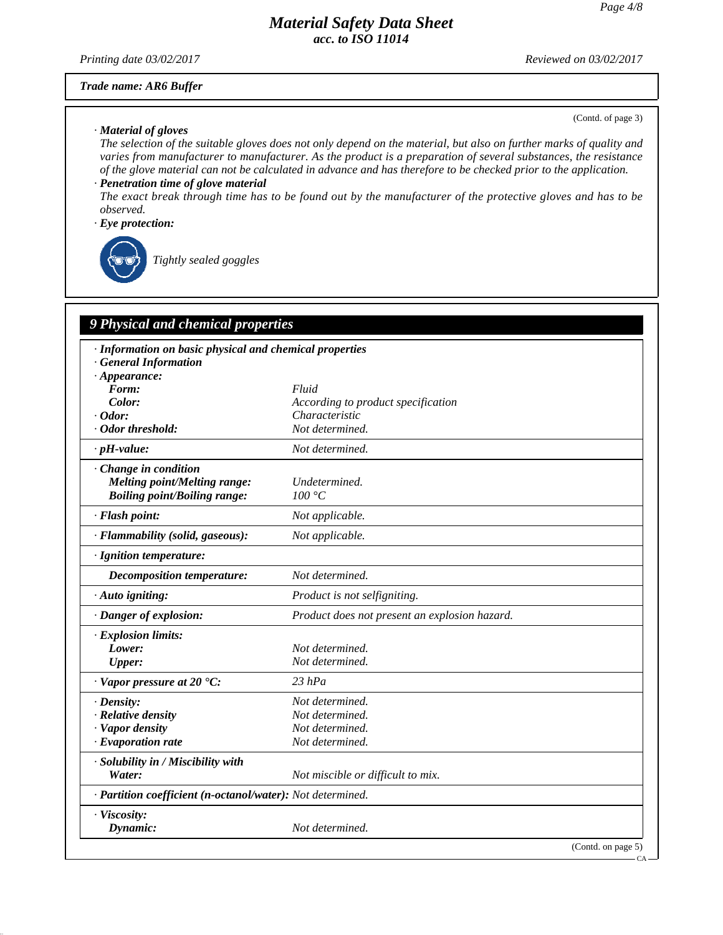*Printing date 03/02/2017 Reviewed on 03/02/2017*

#### *Trade name: AR6 Buffer*

#### *· Material of gloves*

(Contd. of page 3)

*The selection of the suitable gloves does not only depend on the material, but also on further marks of quality and varies from manufacturer to manufacturer. As the product is a preparation of several substances, the resistance of the glove material can not be calculated in advance and has therefore to be checked prior to the application.*

## *· Penetration time of glove material*

*The exact break through time has to be found out by the manufacturer of the protective gloves and has to be observed.*

#### *· Eye protection:*



*Tightly sealed goggles*

# *9 Physical and chemical properties*

| · Information on basic physical and chemical properties    |                                               |                    |
|------------------------------------------------------------|-----------------------------------------------|--------------------|
| <b>General Information</b><br>$\cdot$ Appearance:          |                                               |                    |
| Form:                                                      | Fluid                                         |                    |
| Color:                                                     | According to product specification            |                    |
| $\cdot$ Odor:                                              | Characteristic                                |                    |
| · Odor threshold:                                          | Not determined.                               |                    |
| $\cdot$ pH-value:                                          | Not determined.                               |                    |
| Change in condition                                        |                                               |                    |
| Melting point/Melting range:                               | Undetermined.                                 |                    |
| <b>Boiling point/Boiling range:</b>                        | 100 °C                                        |                    |
| · Flash point:                                             | Not applicable.                               |                    |
| · Flammability (solid, gaseous):                           | Not applicable.                               |                    |
| · Ignition temperature:                                    |                                               |                    |
| <b>Decomposition temperature:</b>                          | Not determined.                               |                    |
| $\cdot$ Auto igniting:                                     | Product is not selfigniting.                  |                    |
| · Danger of explosion:                                     | Product does not present an explosion hazard. |                    |
| · Explosion limits:                                        |                                               |                    |
| Lower:                                                     | Not determined.                               |                    |
| Upper:                                                     | Not determined.                               |                    |
| · Vapor pressure at 20 °C:                                 | $23$ hPa                                      |                    |
| $\cdot$ Density:                                           | Not determined.                               |                    |
| $\cdot$ Relative density                                   | Not determined.                               |                    |
| · Vapor density                                            | Not determined.                               |                    |
| $\cdot$ Evaporation rate                                   | Not determined.                               |                    |
| · Solubility in / Miscibility with                         |                                               |                    |
| Water:                                                     | Not miscible or difficult to mix.             |                    |
| · Partition coefficient (n-octanol/water): Not determined. |                                               |                    |
| · Viscosity:                                               |                                               |                    |
| Dynamic:                                                   | Not determined.                               |                    |
|                                                            |                                               | (Contd. on page 5) |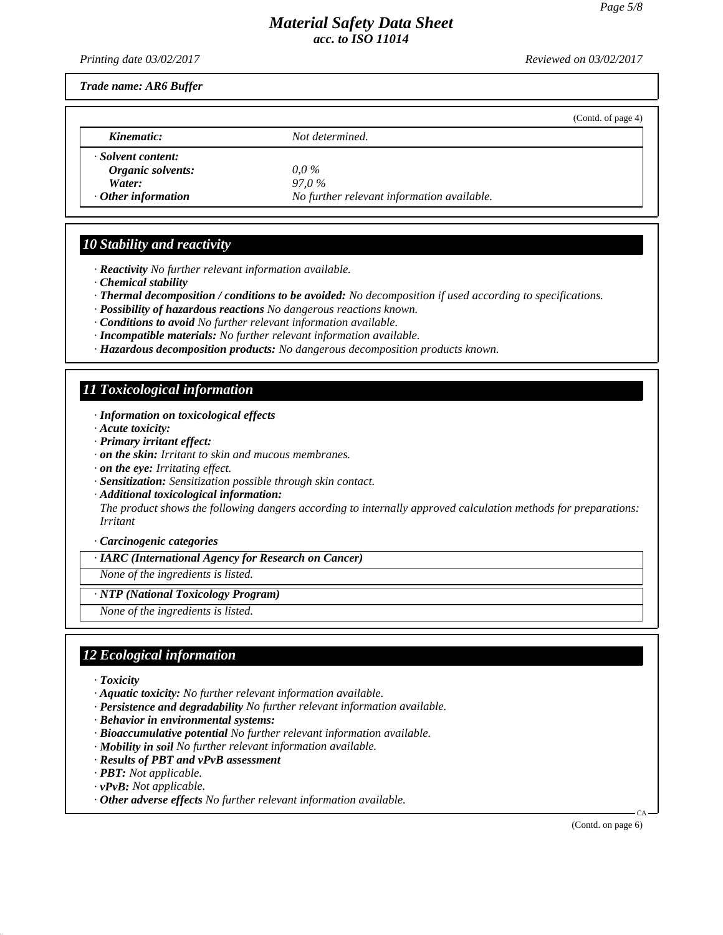*Printing date 03/02/2017 Reviewed on 03/02/2017*

*Trade name: AR6 Buffer*

|                           | (Contd. of page 4)                         |  |
|---------------------------|--------------------------------------------|--|
| Kinematic:                | Not determined.                            |  |
| Solvent content:          |                                            |  |
| Organic solvents:         | $0.0\,\%$                                  |  |
| Water:                    | 97.0%                                      |  |
| $\cdot$ Other information | No further relevant information available. |  |

## *10 Stability and reactivity*

- *· Reactivity No further relevant information available.*
- *· Chemical stability*
- *· Thermal decomposition / conditions to be avoided: No decomposition if used according to specifications.*
- *· Possibility of hazardous reactions No dangerous reactions known.*
- *· Conditions to avoid No further relevant information available.*
- *· Incompatible materials: No further relevant information available.*
- *· Hazardous decomposition products: No dangerous decomposition products known.*

# *11 Toxicological information*

- *· Information on toxicological effects*
- *· Acute toxicity:*
- *· Primary irritant effect:*
- *· on the skin: Irritant to skin and mucous membranes.*
- *· on the eye: Irritating effect.*
- *· Sensitization: Sensitization possible through skin contact.*
- *· Additional toxicological information:*

*The product shows the following dangers according to internally approved calculation methods for preparations: Irritant*

#### *· Carcinogenic categories*

*· IARC (International Agency for Research on Cancer)*

*None of the ingredients is listed.*

#### *· NTP (National Toxicology Program)*

*None of the ingredients is listed.*

# *12 Ecological information*

- *· Toxicity*
- *· Aquatic toxicity: No further relevant information available.*
- *· Persistence and degradability No further relevant information available.*
- *· Behavior in environmental systems:*
- *· Bioaccumulative potential No further relevant information available.*
- *· Mobility in soil No further relevant information available.*
- *· Results of PBT and vPvB assessment*
- *· PBT: Not applicable.*
- *· vPvB: Not applicable.*
- *· Other adverse effects No further relevant information available.*

(Contd. on page 6)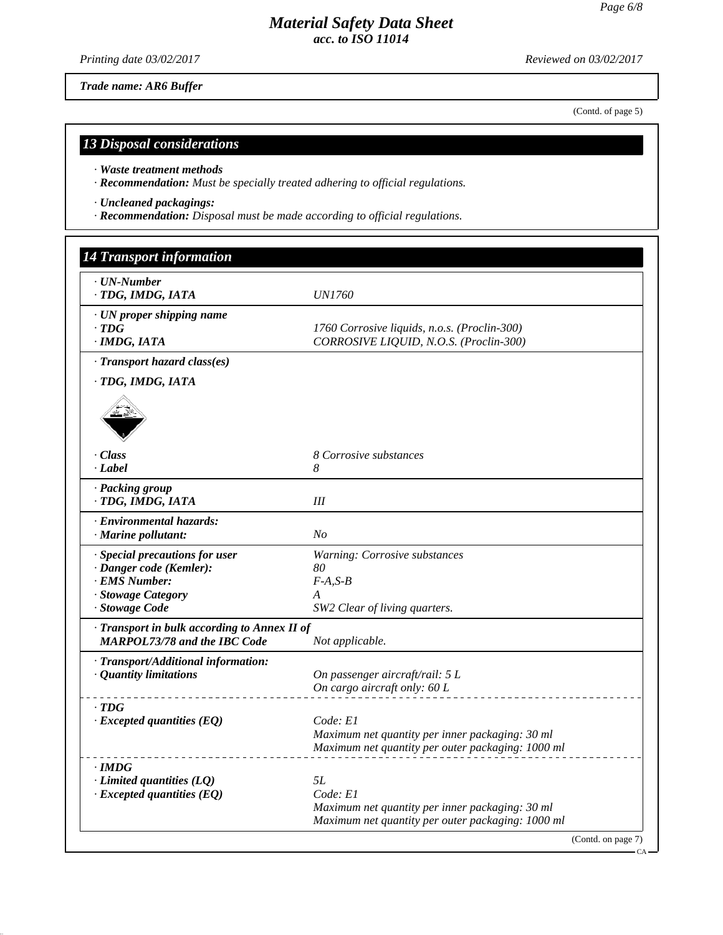(Contd. of page 5)

CA

# *Material Safety Data Sheet acc. to ISO 11014*

*Printing date 03/02/2017 Reviewed on 03/02/2017*

*Trade name: AR6 Buffer*

*13 Disposal considerations*

*· Waste treatment methods*

*· Recommendation: Must be specially treated adhering to official regulations.*

*· Uncleaned packagings:*

*· Recommendation: Disposal must be made according to official regulations.*

| · UN-Number<br>· TDG, IMDG, IATA                                                                                   | <i>UN1760</i>                                                                                                          |
|--------------------------------------------------------------------------------------------------------------------|------------------------------------------------------------------------------------------------------------------------|
| $\cdot$ UN proper shipping name<br>$\cdot$ TDG<br>$·$ <i>IMDG, IATA</i>                                            | 1760 Corrosive liquids, n.o.s. (Proclin-300)<br>CORROSIVE LIQUID, N.O.S. (Proclin-300)                                 |
| · Transport hazard class(es)                                                                                       |                                                                                                                        |
| · TDG, IMDG, IATA                                                                                                  |                                                                                                                        |
| · Class<br>· Label                                                                                                 | 8 Corrosive substances<br>8                                                                                            |
| · Packing group<br>· TDG, IMDG, IATA                                                                               | III                                                                                                                    |
| · Environmental hazards:<br>· Marine pollutant:                                                                    | No                                                                                                                     |
| · Special precautions for user<br>· Danger code (Kemler):<br>· EMS Number:<br>· Stowage Category<br>· Stowage Code | Warning: Corrosive substances<br>80<br>$F-A, S-B$<br>A<br>SW2 Clear of living quarters.                                |
| · Transport in bulk according to Annex II of<br><b>MARPOL73/78 and the IBC Code</b>                                | Not applicable.                                                                                                        |
| · Transport/Additional information:<br>· Quantity limitations                                                      | On passenger aircraft/rail: 5 L<br>On cargo aircraft only: 60 L                                                        |
| $\cdot$ TDG<br>$\cdot$ Excepted quantities (EQ)                                                                    | Code: E1<br>Maximum net quantity per inner packaging: 30 ml<br>Maximum net quantity per outer packaging: 1000 ml       |
| $\cdot$ IMDG<br>$\cdot$ Limited quantities (LQ)<br>$\cdot$ Excepted quantities (EQ)                                | 5L<br>Code: E1<br>Maximum net quantity per inner packaging: 30 ml<br>Maximum net quantity per outer packaging: 1000 ml |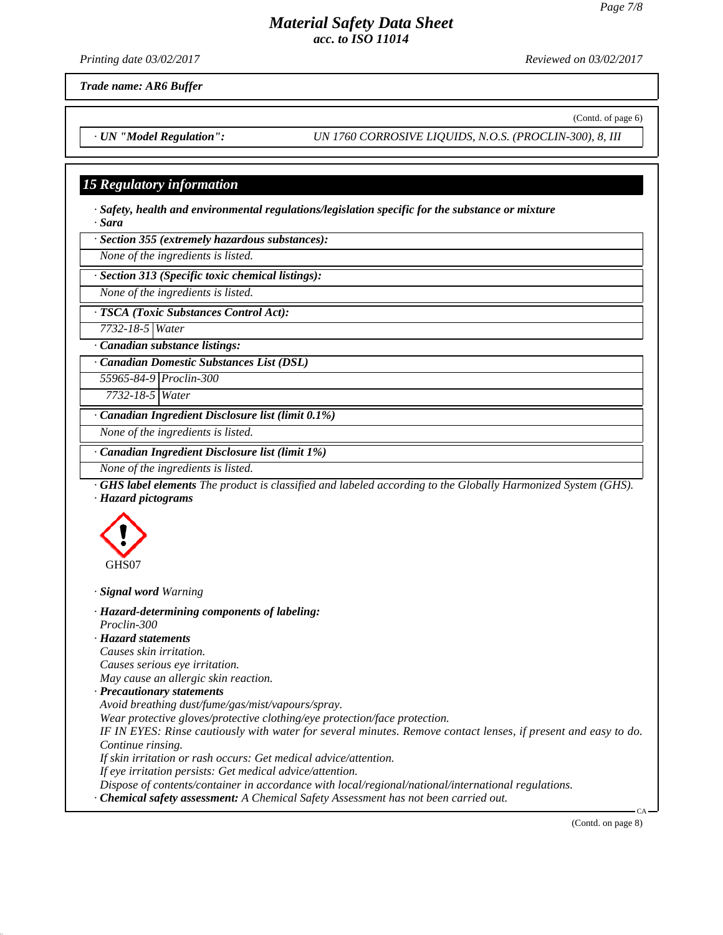*Printing date 03/02/2017 Reviewed on 03/02/2017*

(Contd. of page 6)

*Trade name: AR6 Buffer*

*· UN "Model Regulation": UN 1760 CORROSIVE LIQUIDS, N.O.S. (PROCLIN-300), 8, III*

# *15 Regulatory information*

*· Safety, health and environmental regulations/legislation specific for the substance or mixture · Sara*

*· Section 355 (extremely hazardous substances):*

*None of the ingredients is listed.*

*· Section 313 (Specific toxic chemical listings):*

*None of the ingredients is listed.*

*· TSCA (Toxic Substances Control Act):*

*7732-18-5 Water*

*· Canadian substance listings:*

*· Canadian Domestic Substances List (DSL)*

*55965-84-9 Proclin-300*

*7732-18-5 Water*

*· Canadian Ingredient Disclosure list (limit 0.1%)*

*None of the ingredients is listed.*

*· Canadian Ingredient Disclosure list (limit 1%)*

*None of the ingredients is listed.*

*· GHS label elements The product is classified and labeled according to the Globally Harmonized System (GHS). · Hazard pictograms*



*· Signal word Warning*

*· Hazard-determining components of labeling: Proclin-300 · Hazard statements*

*Causes skin irritation. Causes serious eye irritation. May cause an allergic skin reaction.*

*· Precautionary statements*

*Avoid breathing dust/fume/gas/mist/vapours/spray.*

*Wear protective gloves/protective clothing/eye protection/face protection.*

*IF IN EYES: Rinse cautiously with water for several minutes. Remove contact lenses, if present and easy to do. Continue rinsing.*

*If skin irritation or rash occurs: Get medical advice/attention.*

*If eye irritation persists: Get medical advice/attention.*

*Dispose of contents/container in accordance with local/regional/national/international regulations.*

*· Chemical safety assessment: A Chemical Safety Assessment has not been carried out.*

(Contd. on page 8)